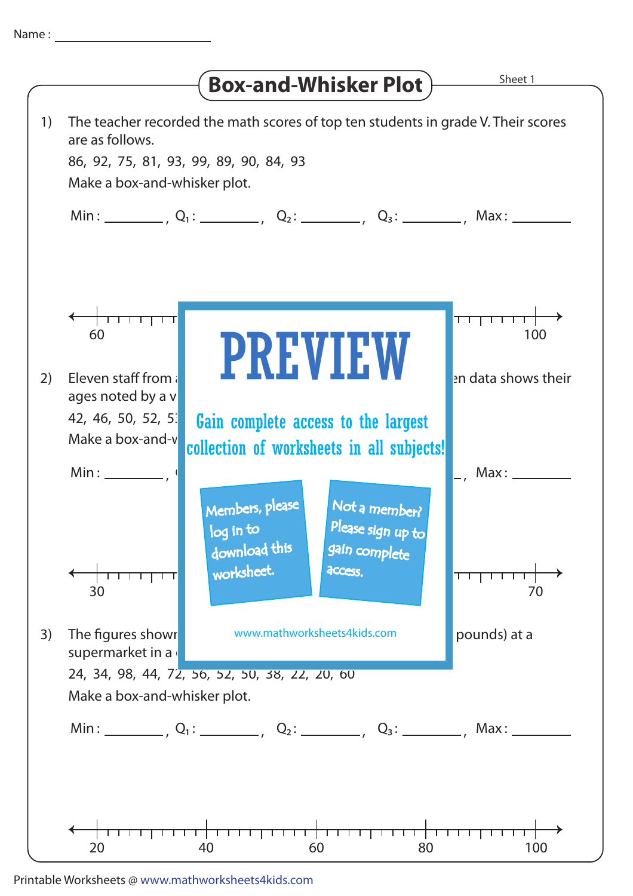